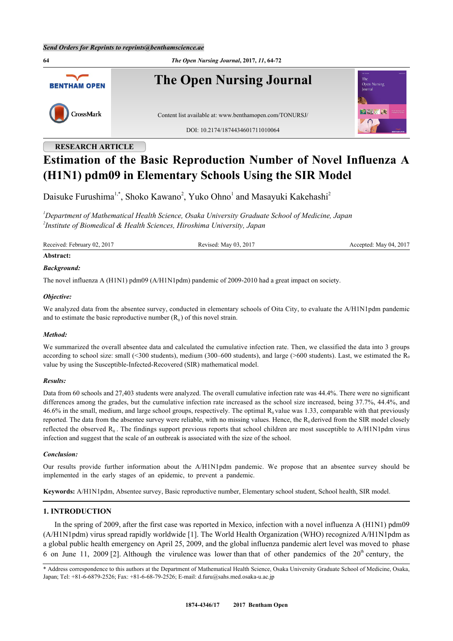**64** *The Open Nursing Journal***, 2017,** *11***, 64-72 The Open Nursing Journal BENTHAM OPEN** CrossMark Content list available at: [www.benthamopen.com/TONURSJ/](http://www.benthamopen.com/TONURSJ/) DOI: [10.2174/1874434601711010064](http://dx.doi.org/10.2174/1874434601711010064)

## **RESEARCH ARTICLE**

# **Estimation of the Basic Reproduction Number of Novel Influenza A (H1N1) pdm09 in Elementary Schools Using the SIR Model**

Daisuke Furushima<sup>[1,](#page-0-0)[\\*](#page-0-1)</sup>, Shoko Kawano<sup>[2](#page-0-2)</sup>, Yuko Ohno<sup>[1](#page-0-0)</sup> and Masayuki Kakehashi<sup>2</sup>

<span id="page-0-2"></span><span id="page-0-0"></span>*<sup>1</sup>Department of Mathematical Health Science, Osaka University Graduate School of Medicine, Japan 2 Institute of Biomedical & Health Sciences, Hiroshima University, Japan*

Received: February 02, 2017 Revised: May 03, 2017 Revised: May 03, 2017 Accepted: May 04, 2017

## **Abstract:**

## *Background:*

The novel influenza A (H1N1) pdm09 (A/H1N1pdm) pandemic of 2009-2010 had a great impact on society.

## *Objective:*

We analyzed data from the absentee survey, conducted in elementary schools of Oita City, to evaluate the A/H1N1pdm pandemic and to estimate the basic reproductive number  $(R_0)$  of this novel strain.

#### *Method:*

We summarized the overall absentee data and calculated the cumulative infection rate. Then, we classified the data into 3 groups according to school size: small (<300 students), medium (300–600 students), and large (>600 students). Last, we estimated the  $R_0$ value by using the Susceptible-Infected-Recovered (SIR) mathematical model.

#### *Results:*

Data from 60 schools and 27,403 students were analyzed. The overall cumulative infection rate was 44.4%. There were no significant differences among the grades, but the cumulative infection rate increased as the school size increased, being 37.7%, 44.4%, and 46.6% in the small, medium, and large school groups, respectively. The optimal  $R_0$  value was 1.33, comparable with that previously reported. The data from the absentee survey were reliable, with no missing values. Hence, the  $R_0$  derived from the SIR model closely reflected the observed  $R_0$ . The findings support previous reports that school children are most susceptible to  $A/H1N1pdm$  virus infection and suggest that the scale of an outbreak is associated with the size of the school.

#### *Conclusion:*

Our results provide further information about the A/H1N1pdm pandemic. We propose that an absentee survey should be implemented in the early stages of an epidemic, to prevent a pandemic.

**Keywords:** A/H1N1pdm, Absentee survey, Basic reproductive number, Elementary school student, School health, SIR model.

## **1. INTRODUCTION**

In the spring of 2009, after the first case was reported in Mexico, infection with a novel influenza A (H1N1) pdm09 (A/H1N1pdm) virus spread rapidly worldwide [\[1](#page-7-0)]. The World Health Organization (WHO) recognized A/H1N1pdm as a global public health emergency on April 25, 2009, and the global influenza pandemic alert level was moved to phase 6 on June 11, 2009 [\[2](#page-7-1)]. Although the virulence was lower than that of other pandemics of the  $20<sup>th</sup>$  century, the

<span id="page-0-1"></span><sup>\*</sup> Address correspondence to this authors at the Department of Mathematical Health Science, Osaka University Graduate School of Medicine, Osaka, Japan; Tel: +81-6-6879-2526; Fax: +81-6-68-79-2526; E-mail: [d.furu@sahs.med.osaka-u.ac.jp](mailto:d.furu@sahs.med.osaka-u.ac.jp)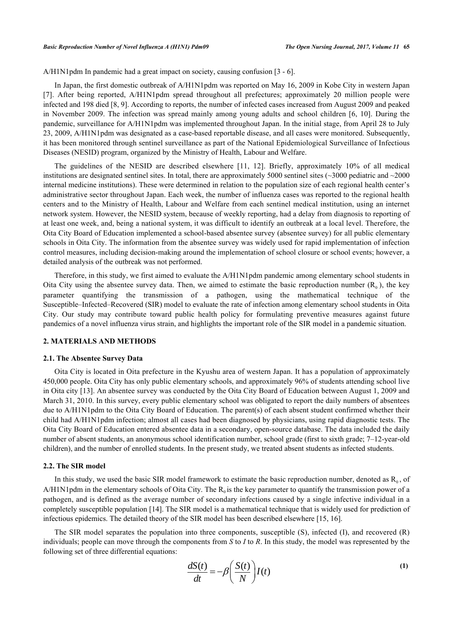A/H1N1pdm In pandemic had a great impact on society, causing confusion [[3](#page-7-2) - [6](#page-7-3)].

In Japan, the first domestic outbreak of A/H1N1pdm was reported on May 16, 2009 in Kobe City in western Japan [\[7](#page-7-4)]. After being reported, A/H1N1pdm spread throughout all prefectures; approximately 20 million people were infected and 198 died [[8,](#page-7-5) [9\]](#page-7-6). According to reports, the number of infected cases increased from August 2009 and peaked in November 2009. The infection was spread mainly among young adults and school children [[6](#page-7-3), [10\]](#page-7-7). During the pandemic, surveillance for A/H1N1pdm was implemented throughout Japan. In the initial stage, from April 28 to July 23, 2009, A/H1N1pdm was designated as a case-based reportable disease, and all cases were monitored. Subsequently, it has been monitored through sentinel surveillance as part of the National Epidemiological Surveillance of Infectious Diseases (NESID) program, organized by the Ministry of Health, Labour and Welfare.

The guidelines of the NESID are described elsewhere [\[11,](#page-7-8) [12](#page-7-9)]. Briefly, approximately 10% of all medical institutions are designated sentinel sites. In total, there are approximately 5000 sentinel sites  $(\sim]3000$  pediatric and  $\sim]2000$ internal medicine institutions). These were determined in relation to the population size of each regional health center's administrative sector throughout Japan. Each week, the number of influenza cases was reported to the regional health centers and to the Ministry of Health, Labour and Welfare from each sentinel medical institution, using an internet network system. However, the NESID system, because of weekly reporting, had a delay from diagnosis to reporting of at least one week, and, being a national system, it was difficult to identify an outbreak at a local level. Therefore, the Oita City Board of Education implemented a school-based absentee survey (absentee survey) for all public elementary schools in Oita City. The information from the absentee survey was widely used for rapid implementation of infection control measures, including decision-making around the implementation of school closure or school events; however, a detailed analysis of the outbreak was not performed.

Therefore, in this study, we first aimed to evaluate the A/H1N1pdm pandemic among elementary school students in Oita City using the absentee survey data. Then, we aimed to estimate the basic reproduction number  $(R_0)$ , the key parameter quantifying the transmission of a pathogen, using the mathematical technique of the Susceptible–Infected–Recovered (SIR) model to evaluate the rate of infection among elementary school students in Oita City. Our study may contribute toward public health policy for formulating preventive measures against future pandemics of a novel influenza virus strain, and highlights the important role of the SIR model in a pandemic situation.

## **2. MATERIALS AND METHODS**

#### **2.1. The Absentee Survey Data**

Oita City is located in Oita prefecture in the Kyushu area of western Japan. It has a population of approximately 450,000 people. Oita City has only public elementary schools, and approximately 96% of students attending school live in Oita city [[13\]](#page-7-10). An absentee survey was conducted by the Oita City Board of Education between August 1, 2009 and March 31, 2010. In this survey, every public elementary school was obligated to report the daily numbers of absentees due to A/H1N1pdm to the Oita City Board of Education. The parent(s) of each absent student confirmed whether their child had A/H1N1pdm infection; almost all cases had been diagnosed by physicians, using rapid diagnostic tests. The Oita City Board of Education entered absentee data in a secondary, open-source database. The data included the daily number of absent students, an anonymous school identification number, school grade (first to sixth grade; 7–12-year-old children), and the number of enrolled students. In the present study, we treated absent students as infected students.

## **2.2. The SIR model**

In this study, we used the basic SIR model framework to estimate the basic reproduction number, denoted as  $R_0$ , of A/H1N1pdm in the elementary schools of Oita City. The  $R_0$  is the key parameter to quantify the transmission power of a pathogen, and is defined as the average number of secondary infections caused by a single infective individual in a completely susceptible population [\[14](#page-7-11)]. The SIR model is a mathematical technique that is widely used for prediction of infectious epidemics. The detailed theory of the SIR model has been described elsewhere [\[15](#page-7-12), [16](#page-7-13)].

The SIR model separates the population into three components, susceptible (S), infected (I), and recovered (R) individuals; people can move through the components from *S* to *I* to *R*. In this study, the model was represented by the following set of three differential equations:

$$
\frac{dS(t)}{dt} = -\beta \left(\frac{S(t)}{N}\right) I(t) \tag{1}
$$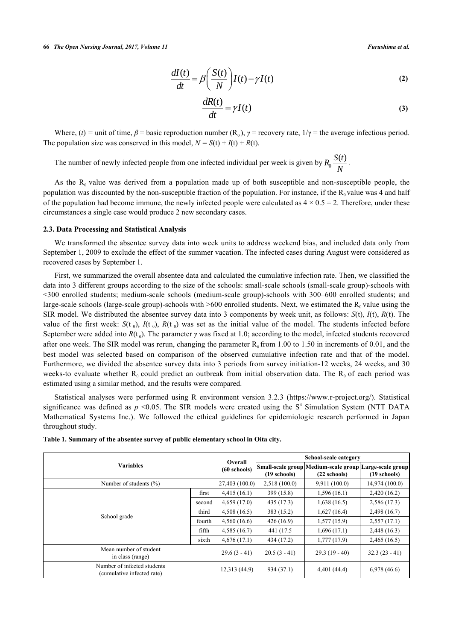$$
\frac{dI(t)}{dt} = \beta \left(\frac{S(t)}{N}\right) I(t) - \gamma I(t)
$$
\n(2)

$$
\frac{dR(t)}{dt} = \gamma I(t) \tag{3}
$$

Where, (*t*) = unit of time,  $\beta$  = basic reproduction number (R<sub>0</sub>),  $\gamma$  = recovery rate,  $1/\gamma$  = the average infectious period. The population size was conserved in this model,  $N = S(t) + I(t) + R(t)$ .

The number of newly infected people from one infected individual per week is given by  $R_0 \frac{S(t)}{N}$ . *N*

As the  $R_0$  value was derived from a population made up of both susceptible and non-susceptible people, the population was discounted by the non-susceptible fraction of the population. For instance, if the  $R_0$  value was 4 and half of the population had become immune, the newly infected people were calculated as  $4 \times 0.5 = 2$ . Therefore, under these circumstances a single case would produce 2 new secondary cases.

## **2.3. Data Processing and Statistical Analysis**

We transformed the absentee survey data into week units to address weekend bias, and included data only from September 1, 2009 to exclude the effect of the summer vacation. The infected cases during August were considered as recovered cases by September 1.

First, we summarized the overall absentee data and calculated the cumulative infection rate. Then, we classified the data into 3 different groups according to the size of the schools: small-scale schools (small-scale group)-schools with <300 enrolled students; medium-scale schools (medium-scale group)-schools with 300–600 enrolled students; and large-scale schools (large-scale group)-schools with  $>600$  enrolled students. Next, we estimated the  $R_0$  value using the SIR model. We distributed the absentee survey data into 3 components by week unit, as follows: *S*(t), *I*(t), *R*(t). The value of the first week:  $S(t_0)$ ,  $I(t_0)$ ,  $R(t_0)$  was set as the initial value of the model. The students infected before September were added into  $R(t_0)$ . The parameter *γ* was fixed at 1.0; according to the model, infected students recovered after one week. The SIR model was rerun, changing the parameter  $R_0$  from 1.00 to 1.50 in increments of 0.01, and the best model was selected based on comparison of the observed cumulative infection rate and that of the model. Furthermore, we divided the absentee survey data into 3 periods from survey initiation-12 weeks, 24 weeks, and 30 weeks-to evaluate whether  $R_0$  could predict an outbreak from initial observation data. The  $R_0$  of each period was estimated using a similar method, and the results were compared.

Statistical analyses were performed using R environment version 3.2.3 [\(https://www.r-project.org/](https://www.r-project.org/)). Statistical significance was defined as  $p \le 0.05$ . The SIR models were created using the  $S<sup>4</sup>$  Simulation System (NTT DATA Mathematical Systems Inc.). We followed the ethical guidelines for epidemiologic research performed in Japan throughout study.

|                                                           |        | Overall        | School-scale category |                                                                        |                |  |
|-----------------------------------------------------------|--------|----------------|-----------------------|------------------------------------------------------------------------|----------------|--|
| <b>Variables</b>                                          |        | $(60$ schools) | $(19$ schools)        | Small-scale group Medium-scale group Large-scale group<br>(22 schools) | $(19$ schools) |  |
| Number of students $(\% )$                                |        | 27,403(100.0)  | 2,518(100.0)          | 9,911 (100.0)                                                          | 14,974 (100.0) |  |
| School grade                                              | first  | 4,415(16.1)    | 399(15.8)             | 1,596(16.1)                                                            | 2,420(16.2)    |  |
|                                                           | second | 4,659(17.0)    | 435(17.3)             | 1,638(16.5)                                                            | 2,586 (17.3)   |  |
|                                                           | third  | 4,508(16.5)    | 383 (15.2)            | 1,627(16.4)                                                            | 2,498 (16.7)   |  |
|                                                           | fourth | 4,560(16.6)    | 426(16.9)             | 1,577(15.9)                                                            | 2,557(17.1)    |  |
|                                                           | fifth  | 4,585(16.7)    | 441 (17.5)            | 1,696(17.1)                                                            | 2,448(16.3)    |  |
|                                                           | sixth  | 4,676(17.1)    | 434 (17.2)            | 1,777(17.9)                                                            | 2,465(16.5)    |  |
| Mean number of student<br>in class (range)                |        | $29.6(3 - 41)$ | $20.5(3-41)$          | $29.3(19-40)$                                                          | $32.3(23-41)$  |  |
| Number of infected students<br>(cumulative infected rate) |        | 12,313(44.9)   | 934 (37.1)            | 4,401(44.4)                                                            | 6,978(46.6)    |  |

<span id="page-2-0"></span>**Table 1. Summary of the absentee survey of public elementary school in Oita city.**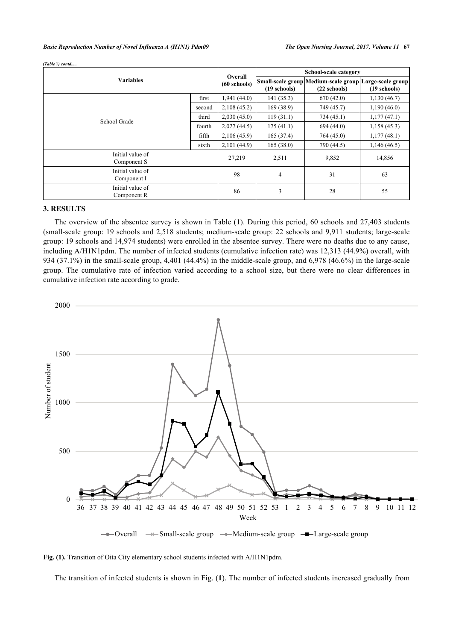#### *Basic Reproduction Number of Novel Influenza A (H1N1) Pdm09 The Open Nursing Journal, 2017, Volume 11* **67**

| <b>Variables</b>                |        | Overall<br>$(60$ schools) | School-scale category |                                                                          |                |  |
|---------------------------------|--------|---------------------------|-----------------------|--------------------------------------------------------------------------|----------------|--|
|                                 |        |                           | $(19$ schools)        | Small-scale group Medium-scale group Large-scale group<br>$(22$ schools) | $(19$ schools) |  |
|                                 | first  | 1,941(44.0)               | 141(35.3)             | 670(42.0)                                                                | 1,130(46.7)    |  |
|                                 | second | 2,108(45.2)               | 169(38.9)             | 749 (45.7)                                                               | 1,190(46.0)    |  |
| School Grade                    | third  | 2,030(45.0)               | 119(31.1)             | 734(45.1)                                                                | 1,177(47.1)    |  |
|                                 | fourth | 2,027(44.5)               | 175(41.1)             | 694(44.0)                                                                | 1,158(45.3)    |  |
|                                 | fifth  | 2,106(45.9)               | 165(37.4)             | 764(45.0)                                                                | 1,177(48.1)    |  |
|                                 | sixth  | 2,101(44.9)               | 165(38.0)             | 790 (44.5)                                                               | 1,146(46.5)    |  |
| Initial value of<br>Component S |        | 27,219                    | 2,511                 | 9,852                                                                    | 14,856         |  |
| Initial value of<br>Component I |        | 98                        | $\overline{4}$        | 31                                                                       | 63             |  |
| Initial value of<br>Component R |        | 86                        | 3                     | 28                                                                       | 55             |  |

*(Table 3) contd.* 

## **3. RESULTS**

The overview of the absentee survey is shown in Table (**[1](#page-2-0)**). During this period, 60 schools and 27,403 students (small-scale group: 19 schools and 2,518 students; medium-scale group: 22 schools and 9,911 students; large-scale group: 19 schools and 14,974 students) were enrolled in the absentee survey. There were no deaths due to any cause, including A/H1N1pdm. The number of infected students (cumulative infection rate) was 12,313 (44.9%) overall, with 934 (37.1%) in the small-scale group, 4,401 (44.4%) in the middle-scale group, and 6,978 (46.6%) in the large-scale group. The cumulative rate of infection varied according to a school size, but there were no clear differences in cumulative infection rate according to grade.

<span id="page-3-0"></span>

Overall  $\rightarrow$  Small-scale group  $\rightarrow$  Medium-scale group  $\rightarrow$  Large-scale group

The transition of infected students is shown in Fig. (**[1](#page-3-0)**). The number of infected students increased gradually from

**Fig. (1).** Transition of Oita City elementary school students infected with A/H1N1pdm.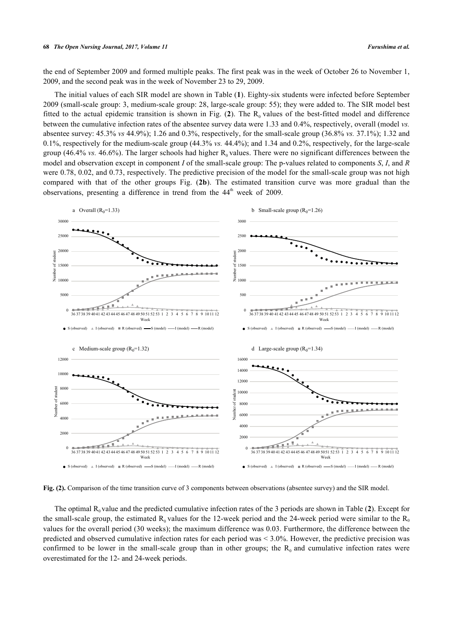the end of September 2009 and formed multiple peaks. The first peak was in the week of October 26 to November 1, 2009, and the second peak was in the week of November 23 to 29, 2009.

The initial values of each SIR model are shown in Table (**[1](#page-2-0)**). Eighty-six students were infected before September 2009 (small-scale group: 3, medium-scale group: 28, large-scale group: 55); they were added to. The SIR model best fitted to the actual epidemic transition is shown in Fig.  $(2)$  $(2)$  $(2)$ . The R<sub>0</sub> values of the best-fitted model and difference between the cumulative infection rates of the absentee survey data were 1.33 and 0.4%, respectively, overall (model *vs.* absentee survey: 45.3% *vs* 44.9%); 1.26 and 0.3%, respectively, for the small-scale group (36.8% *vs.* 37.1%); 1.32 and 0.1%, respectively for the medium-scale group (44.3% *vs.* 44.4%); and 1.34 and 0.2%, respectively, for the large-scale group (46.4% *vs.* 46.6%). The larger schools had higher  $R_0$  values. There were no significant differences between the model and observation except in component *I* of the small-scale group: The p-values related to components *S*, *I*, and *R* were 0.78, 0.02, and 0.73, respectively. The predictive precision of the model for the small-scale group was not high compared with that of the other groups Fig. (**[2b](#page-4-0)**). The estimated transition curve was more gradual than the observations, presenting a difference in trend from the 44<sup>th</sup> week of 2009.

<span id="page-4-0"></span>

**Fig. (2).** Comparison of the time transition curve of 3 components between observations (absentee survey) and the SIR model.

The optimal  $R_0$  value and the predicted cumulative infection rates of the 3 periods are shown in Table ([2](#page-5-0)). Except for the small-scale group, the estimated  $R_0$  values for the 12-week period and the 24-week period were similar to the  $R_0$ values for the overall period (30 weeks); the maximum difference was 0.03. Furthermore, the difference between the predicted and observed cumulative infection rates for each period was < 3.0%. However, the predictive precision was confirmed to be lower in the small-scale group than in other groups; the  $R_0$  and cumulative infection rates were overestimated for the 12- and 24-week periods.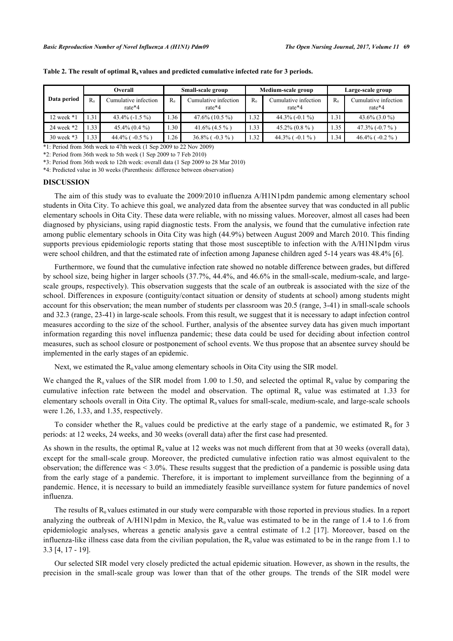|                | Overall |                                   |       | Small-scale group              |       | Medium-scale group             |       | Large-scale group              |  |
|----------------|---------|-----------------------------------|-------|--------------------------------|-------|--------------------------------|-------|--------------------------------|--|
| Data period    | $R_0$   | Cumulative infection<br>rate $*4$ | $R_0$ | Cumulative infection<br>rate*4 | $R_0$ | Cumulative infection<br>rate*4 | $R_0$ | Cumulative infection<br>rate*4 |  |
| 12 week *1     | .31     | $43.4\%$ (-1.5 %)                 | 1.36  | $47.6\%$ (10.5 %)              | 1.32  | 44.3% $(-0.1\%)$               | 1.31  | $43.6\%$ (3.0 %)               |  |
| 24 week *2     | .33     | $45.4\%$ (0.4 %)                  | .30   | 41.6% $(4.5\%$ )               | 1.33  | $45.2\%$ (0.8 $\%$ )           | 1.35  | $47.3\%$ (-0.7 $\%$ )          |  |
| $30$ week $*3$ | .33     | $44.4\%$ ( $-0.5\%$ )             | .26   | $36.8\%$ (-0.3 $\%$ )          | 1.32  | $44.3\%$ ( $-0.1\%$ )          | 1.34  | $46.4\%$ ( $-0.2\%$ )          |  |

<span id="page-5-0"></span>**Table 2. The result of optimal R0 values and predicted cumulative infected rate for 3 periods.**

\*1: Period from 36th week to 47th week (1 Sep 2009 to 22 Nov 2009)

\*2: Period from 36th week to 5th week (1 Sep 2009 to 7 Feb 2010)

\*3: Period from 36th week to 12th week: overall data (1 Sep 2009 to 28 Mar 2010)

\*4: Predicted value in 30 weeks (Parenthesis: difference between observation)

## **DISCUSSION**

The aim of this study was to evaluate the 2009/2010 influenza A/H1N1pdm pandemic among elementary school students in Oita City. To achieve this goal, we analyzed data from the absentee survey that was conducted in all public elementary schools in Oita City. These data were reliable, with no missing values. Moreover, almost all cases had been diagnosed by physicians, using rapid diagnostic tests. From the analysis, we found that the cumulative infection rate among public elementary schools in Oita City was high (44.9%) between August 2009 and March 2010. This finding supports previous epidemiologic reports stating that those most susceptible to infection with the A/H1N1pdm virus were school children, and that the estimated rate of infection among Japanese children aged 5-14 years was 48.4% [[6\]](#page-7-3).

Furthermore, we found that the cumulative infection rate showed no notable difference between grades, but differed by school size, being higher in larger schools (37.7%, 44.4%, and 46.6% in the small-scale, medium-scale, and largescale groups, respectively). This observation suggests that the scale of an outbreak is associated with the size of the school. Differences in exposure (contiguity/contact situation or density of students at school) among students might account for this observation; the mean number of students per classroom was 20.5 (range, 3-41) in small-scale schools and 32.3 (range, 23-41) in large-scale schools. From this result, we suggest that it is necessary to adapt infection control measures according to the size of the school. Further, analysis of the absentee survey data has given much important information regarding this novel influenza pandemic; these data could be used for deciding about infection control measures, such as school closure or postponement of school events. We thus propose that an absentee survey should be implemented in the early stages of an epidemic.

Next, we estimated the  $R_0$  value among elementary schools in Oita City using the SIR model.

We changed the  $R_0$  values of the SIR model from 1.00 to 1.50, and selected the optimal  $R_0$  value by comparing the cumulative infection rate between the model and observation. The optimal  $R_0$  value was estimated at 1.33 for elementary schools overall in Oita City. The optimal  $R_0$  values for small-scale, medium-scale, and large-scale schools were 1.26, 1.33, and 1.35, respectively.

To consider whether the R<sub>0</sub> values could be predictive at the early stage of a pandemic, we estimated R<sub>0</sub> for 3 periods: at 12 weeks, 24 weeks, and 30 weeks (overall data) after the first case had presented.

As shown in the results, the optimal  $R_0$  value at 12 weeks was not much different from that at 30 weeks (overall data), except for the small-scale group. Moreover, the predicted cumulative infection ratio was almost equivalent to the observation; the difference was  $\leq 3.0\%$ . These results suggest that the prediction of a pandemic is possible using data from the early stage of a pandemic. Therefore, it is important to implement surveillance from the beginning of a pandemic. Hence, it is necessary to build an immediately feasible surveillance system for future pandemics of novel influenza.

The results of  $R_0$  values estimated in our study were comparable with those reported in previous studies. In a report analyzing the outbreak of A/H1N1pdm in Mexico, the  $R_0$  value was estimated to be in the range of 1.4 to 1.6 from epidemiologic analyses, whereas a genetic analysis gave a central estimate of 1.2 [\[17](#page-7-14)]. Moreover, based on the influenza-like illness case data from the civilian population, the  $R_0$  value was estimated to be in the range from 1.1 to 3.3 [\[4](#page-7-15), [17](#page-7-14) - [19](#page-7-16)].

Our selected SIR model very closely predicted the actual epidemic situation. However, as shown in the results, the precision in the small-scale group was lower than that of the other groups. The trends of the SIR model were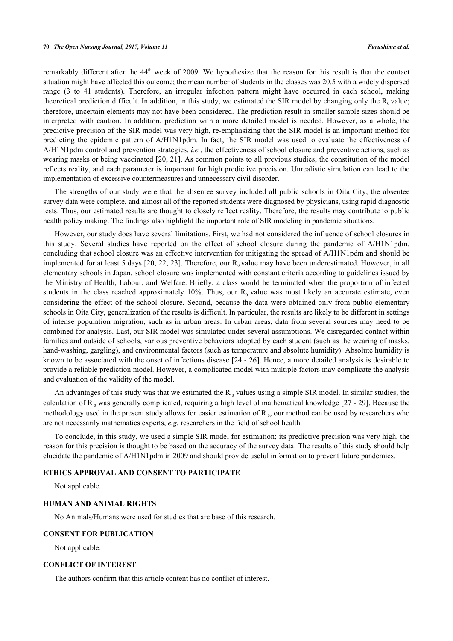remarkably different after the 44<sup>th</sup> week of 2009. We hypothesize that the reason for this result is that the contact situation might have affected this outcome; the mean number of students in the classes was 20.5 with a widely dispersed range (3 to 41 students). Therefore, an irregular infection pattern might have occurred in each school, making theoretical prediction difficult. In addition, in this study, we estimated the SIR model by changing only the  $R_0$  value; therefore, uncertain elements may not have been considered. The prediction result in smaller sample sizes should be interpreted with caution. In addition, prediction with a more detailed model is needed. However, as a whole, the predictive precision of the SIR model was very high, re-emphasizing that the SIR model is an important method for predicting the epidemic pattern of A/H1N1pdm. In fact, the SIR model was used to evaluate the effectiveness of A/H1N1pdm control and prevention strategies, *i.e.*, the effectiveness of school closure and preventive actions, such as wearing masks or being vaccinated [[20](#page-7-17), [21\]](#page-7-18). As common points to all previous studies, the constitution of the model reflects reality, and each parameter is important for high predictive precision. Unrealistic simulation can lead to the implementation of excessive countermeasures and unnecessary civil disorder.

The strengths of our study were that the absentee survey included all public schools in Oita City, the absentee survey data were complete, and almost all of the reported students were diagnosed by physicians, using rapid diagnostic tests. Thus, our estimated results are thought to closely reflect reality. Therefore, the results may contribute to public health policy making. The findings also highlight the important role of SIR modeling in pandemic situations.

However, our study does have several limitations. First, we had not considered the influence of school closures in this study. Several studies have reported on the effect of school closure during the pandemic of A/H1N1pdm, concluding that school closure was an effective intervention for mitigating the spread of A/H1N1pdm and should be implemented for at least 5 days [[20,](#page-7-17) [22,](#page-8-0) [23](#page-8-1)]. Therefore, our  $R_0$  value may have been underestimated. However, in all elementary schools in Japan, school closure was implemented with constant criteria according to guidelines issued by the Ministry of Health, Labour, and Welfare. Briefly, a class would be terminated when the proportion of infected students in the class reached approximately 10%. Thus, our  $R_0$  value was most likely an accurate estimate, even considering the effect of the school closure. Second, because the data were obtained only from public elementary schools in Oita City, generalization of the results is difficult. In particular, the results are likely to be different in settings of intense population migration, such as in urban areas. In urban areas, data from several sources may need to be combined for analysis. Last, our SIR model was simulated under several assumptions. We disregarded contact within families and outside of schools, various preventive behaviors adopted by each student (such as the wearing of masks, hand-washing, gargling), and environmental factors (such as temperature and absolute humidity). Absolute humidity is known to be associated with the onset of infectious disease [[24](#page-8-2) - [26\]](#page-8-3). Hence, a more detailed analysis is desirable to provide a reliable prediction model. However, a complicated model with multiple factors may complicate the analysis and evaluation of the validity of the model.

An advantages of this study was that we estimated the  $R_0$  values using a simple SIR model. In similar studies, the calculation of  $R_0$  was generally complicated, requiring a high level of mathematical knowledge [27 - [29](#page-8-4)]. Because the methodology used in the present study allows for easier estimation of  $R_0$ , our method can be used by researchers who are not necessarily mathematics experts, *e.g.* researchers in the field of school health.

To conclude, in this study, we used a simple SIR model for estimation; its predictive precision was very high, the reason for this precision is thought to be based on the accuracy of the survey data. The results of this study should help elucidate the pandemic of A/H1N1pdm in 2009 and should provide useful information to prevent future pandemics.

## **ETHICS APPROVAL AND CONSENT TO PARTICIPATE**

Not applicable.

#### **HUMAN AND ANIMAL RIGHTS**

No Animals/Humans were used for studies that are base of this research.

#### **CONSENT FOR PUBLICATION**

Not applicable.

## **CONFLICT OF INTEREST**

The authors confirm that this article content has no conflict of interest.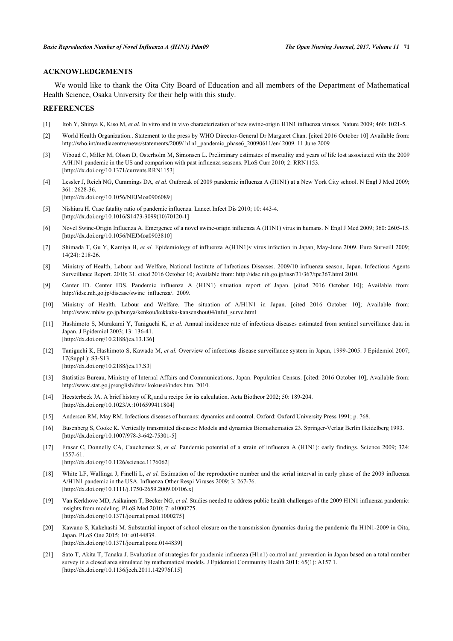## **ACKNOWLEDGEMENTS**

We would like to thank the Oita City Board of Education and all members of the Department of Mathematical Health Science, Osaka University for their help with this study.

## **REFERENCES**

- <span id="page-7-0"></span>[1] Itoh Y, Shinya K, Kiso M, *et al.* In vitro and in vivo characterization of new swine-origin H1N1 influenza viruses. Nature 2009; 460: 1021-5.
- <span id="page-7-1"></span>[2] World Health Organization.. Statement to the press by WHO Director-General Dr Margaret Chan. [cited 2016 October 10] Available from: [http://who.int/mediacentre/news/statements/2009/ h1n1\\_pandemic\\_phase6\\_20090611/en/](http://who.int/mediacentre/news/statements/2009/h1n1_pandemic_phase6_20090611/en/) 2009. 11 June 2009
- <span id="page-7-2"></span>[3] Viboud C, Miller M, Olson D, Osterholm M, Simonsen L. Preliminary estimates of mortality and years of life lost associated with the 2009 A/H1N1 pandemic in the US and comparison with past influenza seasons. PLoS Curr 2010; 2: RRN1153. [\[http://dx.doi.org/10.1371/currents.RRN1153](http://dx.doi.org/10.1371/currents.RRN1153)]
- <span id="page-7-15"></span>[4] Lessler J, Reich NG, Cummings DA, *et al.* Outbreak of 2009 pandemic influenza A (H1N1) at a New York City school. N Engl J Med 2009; 361: 2628-36.

[\[http://dx.doi.org/10.1056/NEJMoa0906089](http://dx.doi.org/10.1056/NEJMoa0906089)]

- [5] Nishiura H. Case fatality ratio of pandemic influenza. Lancet Infect Dis 2010; 10: 443-4. [\[http://dx.doi.org/10.1016/S1473-3099\(10\)70120-1\]](http://dx.doi.org/10.1016/S1473-3099(10)70120-1)
- <span id="page-7-3"></span>[6] Novel Swine-Origin Influenza A. Emergence of a novel swine-origin influenza A (H1N1) virus in humans. N Engl J Med 2009; 360: 2605-15. [\[http://dx.doi.org/10.1056/NEJMoa0903810](http://dx.doi.org/10.1056/NEJMoa0903810)]
- <span id="page-7-4"></span>[7] Shimada T, Gu Y, Kamiya H, *et al.* Epidemiology of influenza A(H1N1)v virus infection in Japan, May-June 2009. Euro Surveill 2009; 14(24): 218-26.
- <span id="page-7-5"></span>[8] Ministry of Health, Labour and Welfare, National Institute of Infectious Diseases. 2009/10 influenza season, Japan. Infectious Agents Surveillance Report. 2010; 31. cited 2016 October 10; Available from:<http://idsc.nih.go.jp/iasr/31/367/tpc367.html> 2010.
- <span id="page-7-6"></span>[9] Center ID. Center IDS. Pandemic influenza A (H1N1) situation report of Japan. [cited 2016 October 10]; Available from: [http://idsc.nih.go.jp/disease/swine\\_influenza/](http://idsc.nih.go.jp/disease/swine_influenza/). 2009.
- <span id="page-7-7"></span>[10] Ministry of Health. Labour and Welfare. The situation of A/H1N1 in Japan. [cited 2016 October 10]; Available from: [http://www.mhlw.go.jp/bunya/kenkou/kekkaku-kansenshou04/inful\\_surve.html](http://www.mhlw.go.jp/bunya/kenkou/kekkaku-kansenshou04/inful_surve.html.)
- <span id="page-7-8"></span>[11] Hashimoto S, Murakami Y, Taniguchi K, *et al.* Annual incidence rate of infectious diseases estimated from sentinel surveillance data in Japan. J Epidemiol 2003; 13: 136-41. [\[http://dx.doi.org/10.2188/jea.13.136](http://dx.doi.org/10.2188/jea.13.136)]
- <span id="page-7-9"></span>[12] Taniguchi K, Hashimoto S, Kawado M, *et al.* Overview of infectious disease surveillance system in Japan, 1999-2005. J Epidemiol 2007; 17(Suppl.): S3-S13. [\[http://dx.doi.org/10.2188/jea.17.S3\]](http://dx.doi.org/10.2188/jea.17.S3)
- <span id="page-7-10"></span>[13] Statistics Bureau, Ministry of Internal Affairs and Communications, Japan. Population Census. [cited: 2016 October 10]; Available from: [http://www.stat.go.jp/english/data/ kokusei/index.htm.](http://www.stat.go.jp/english/data/kokusei/index.htm) 2010.
- <span id="page-7-11"></span>[14] Heesterbeek JA. A brief history of R<sub>0</sub> and a recipe for its calculation. Acta Biotheor 2002; 50: 189-204. [\[http://dx.doi.org/10.1023/A:1016599411804\]](http://dx.doi.org/10.1023/A:1016599411804)
- <span id="page-7-12"></span>[15] Anderson RM, May RM. Infectious diseases of humans: dynamics and control. Oxford: Oxford University Press 1991; p. 768.
- <span id="page-7-13"></span>[16] Busenberg S, Cooke K. Vertically transmitted diseases: Models and dynamics Biomathematics 23. Springer-Verlag Berlin Heidelberg 1993. [\[http://dx.doi.org/10.1007/978-3-642-75301-5](http://dx.doi.org/10.1007/978-3-642-75301-5)]
- <span id="page-7-14"></span>[17] Fraser C, Donnelly CA, Cauchemez S, *et al.* Pandemic potential of a strain of influenza A (H1N1): early findings. Science 2009; 324: 1557-61.

[\[http://dx.doi.org/10.1126/science.1176062](http://dx.doi.org/10.1126/science.1176062)]

- [18] White LF, Wallinga J, Finelli L, *et al.* Estimation of the reproductive number and the serial interval in early phase of the 2009 influenza A/H1N1 pandemic in the USA. Influenza Other Respi Viruses 2009; 3: 267-76. [\[http://dx.doi.org/10.1111/j.1750-2659.2009.00106.x\]](http://dx.doi.org/10.1111/j.1750-2659.2009.00106.x)
- <span id="page-7-16"></span>[19] Van Kerkhove MD, Asikainen T, Becker NG, *et al.* Studies needed to address public health challenges of the 2009 H1N1 influenza pandemic: insights from modeling. PLoS Med 2010; 7: e1000275. [\[http://dx.doi.org/10.1371/journal.pmed.1000275](http://dx.doi.org/10.1371/journal.pmed.1000275)]
- <span id="page-7-17"></span>[20] Kawano S, Kakehashi M. Substantial impact of school closure on the transmission dynamics during the pandemic flu H1N1-2009 in Oita, Japan. PLoS One 2015; 10: e0144839. [\[http://dx.doi.org/10.1371/journal.pone.0144839](http://dx.doi.org/10.1371/journal.pone.0144839)]
- <span id="page-7-18"></span>[21] Sato T, Akita T, Tanaka J. Evaluation of strategies for pandemic influenza (H1n1) control and prevention in Japan based on a total number survey in a closed area simulated by mathematical models. J Epidemiol Community Health 2011; 65(1): A157.1. [\[http://dx.doi.org/10.1136/jech.2011.142976f.15\]](http://dx.doi.org/10.1136/jech.2011.142976f.15)